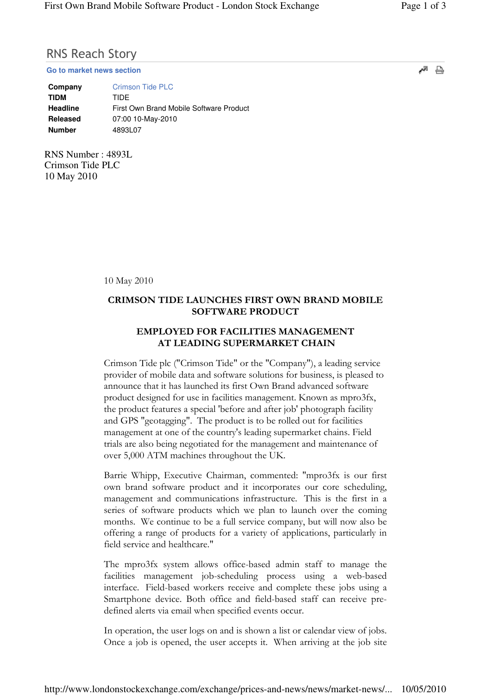## RNS Reach Story

**Go to market news section**

| Company         | <b>Crimson Tide PLC</b>                 |
|-----------------|-----------------------------------------|
| <b>TIDM</b>     | TIDE                                    |
| <b>Headline</b> | First Own Brand Mobile Software Product |
| Released        | 07:00 10-May-2010                       |
| <b>Number</b>   | 4893L07                                 |

RNS Number : 4893L Crimson Tide PLC 10 May 2010

10 May 2010

## CRIMSON TIDE LAUNCHES FIRST OWN BRAND MOBILE SOFTWARE PRODUCT

## EMPLOYED FOR FACILITIES MANAGEMENT AT LEADING SUPERMARKET CHAIN

Crimson Tide plc ("Crimson Tide" or the "Company"), a leading service provider of mobile data and software solutions for business, is pleased to announce that it has launched its first Own Brand advanced software product designed for use in facilities management. Known as mpro3fx, the product features a special 'before and after job' photograph facility and GPS "geotagging". The product is to be rolled out for facilities management at one of the country's leading supermarket chains. Field trials are also being negotiated for the management and maintenance of over 5,000 ATM machines throughout the UK.

Barrie Whipp, Executive Chairman, commented: "mpro3fx is our first own brand software product and it incorporates our core scheduling, management and communications infrastructure. This is the first in a series of software products which we plan to launch over the coming months. We continue to be a full service company, but will now also be offering a range of products for a variety of applications, particularly in field service and healthcare."

The mpro3fx system allows office-based admin staff to manage the facilities management job-scheduling process using a web-based interface. Field-based workers receive and complete these jobs using a Smartphone device. Both office and field-based staff can receive predefined alerts via email when specified events occur.

In operation, the user logs on and is shown a list or calendar view of jobs. Once a job is opened, the user accepts it. When arriving at the job site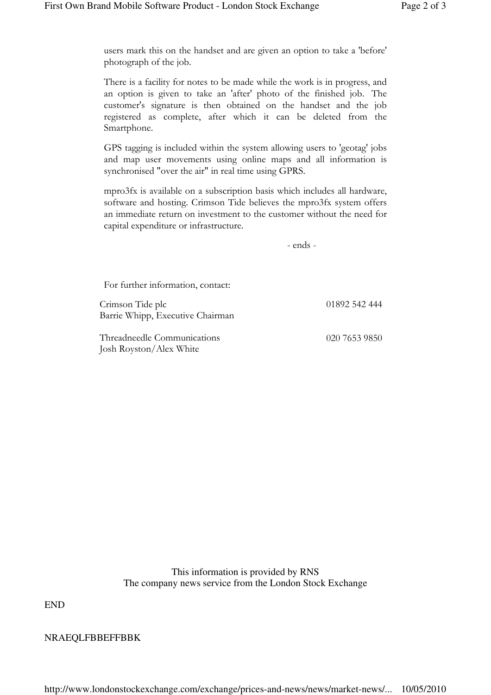users mark this on the handset and are given an option to take a 'before' photograph of the job.

There is a facility for notes to be made while the work is in progress, and an option is given to take an 'after' photo of the finished job. The customer's signature is then obtained on the handset and the job registered as complete, after which it can be deleted from the Smartphone.

GPS tagging is included within the system allowing users to 'geotag' jobs and map user movements using online maps and all information is synchronised "over the air" in real time using GPRS.

mpro3fx is available on a subscription basis which includes all hardware, software and hosting. Crimson Tide believes the mpro3fx system offers an immediate return on investment to the customer without the need for capital expenditure or infrastructure.

- ends -

| For further information, contact:                      |               |
|--------------------------------------------------------|---------------|
| Crimson Tide plc<br>Barrie Whipp, Executive Chairman   | 01892 542 444 |
| Threadneedle Communications<br>Josh Royston/Alex White | 020 7653 9850 |

This information is provided by RNS The company news service from the London Stock Exchange

END

NRAEQLFBBEFFBBK